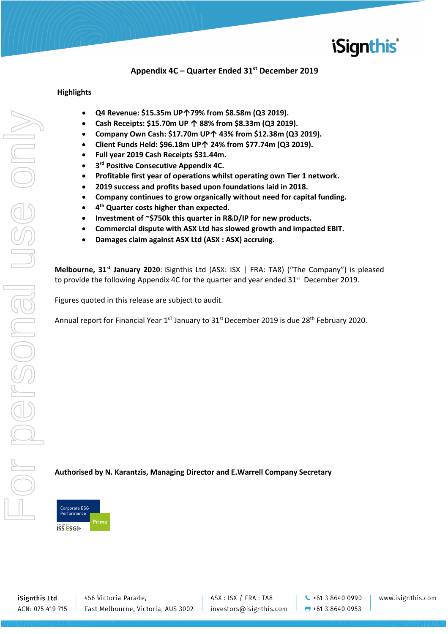

### **Appendix 4C – Quarter Ended 31st December 2019**

### **Highlights**

- **Q4 Revenue: \$15.35m UP↑79% from \$8.58m (Q3 2019).**
- **Cash Receipts: \$15.70m UP ↑ 88% from \$8.33m (Q3 2019).**
- **Company Own Cash: \$17.70m UP↑ 43% from \$12.38m (Q3 2019).**
- **Client Funds Held: \$96.18m UP↑ 24% from \$77.74m (Q3 2019).**
- **Full year 2019 Cash Receipts \$31.44m.**
- **3rd Positive Consecutive Appendix 4C.**
- **Profitable first year of operations whilst operating own Tier 1 network.**
- **2019 success and profits based upon foundations laid in 2018.**
- **Company continues to grow organically without need for capital funding.**
- **4th Quarter costs higher than expected.**
- **Investment of ~\$750k this quarter in R&D/IP for new products.**
- **Commercial dispute with ASX Ltd has slowed growth and impacted EBIT.**
- **Damages claim against ASX Ltd (ASX : ASX) accruing.**

**Melbourne, 31st January 2020**: iSignthis Ltd (ASX: ISX | FRA: TA8) ("The Company") is pleased to provide the following Appendix 4C for the quarter and year ended  $31^{st}$  December 2019.

Figures quoted in this release are subject to audit.

Annual report for Financial Year  $1^{sT}$  January to 31 $^{st}$  December 2019 is due 28<sup>th</sup> February 2020.

### **Authorised by N. Karantzis, Managing Director and E.Warrell Company Secretary**



iSignthis Ltd ACN: 075 419 715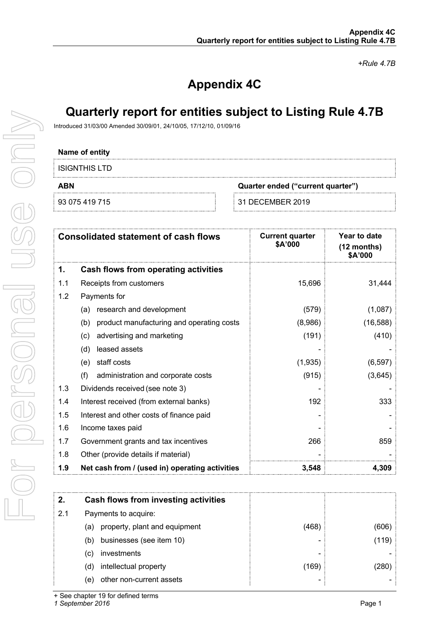*+Rule 4.7B*

# **Appendix 4C**

## **Quarterly report for entities subject to Listing Rule 4.7B**

Introduced 31/03/00 Amended 30/09/01, 24/10/05, 17/12/10, 01/09/16

#### **Name of entity**

| ISIGNTHIS LTD  |                                   |
|----------------|-----------------------------------|
| ABN            | Quarter ended ("current quarter") |
| 93 075 419 715 | 31 DECEMBER 2019                  |

| <b>Consolidated statement of cash flows</b> |                                                  | <b>Current quarter</b><br>\$A'000 | Year to date<br>(12 months)<br>\$A'000 |
|---------------------------------------------|--------------------------------------------------|-----------------------------------|----------------------------------------|
| 1.                                          | <b>Cash flows from operating activities</b>      |                                   |                                        |
| 1.1                                         | Receipts from customers                          | 15,696                            | 31,444                                 |
| 1.2                                         | Payments for                                     |                                   |                                        |
|                                             | research and development<br>(a)                  | (579)                             | (1,087)                                |
|                                             | product manufacturing and operating costs<br>(b) | (8,986)                           | (16, 588)                              |
|                                             | advertising and marketing<br>(c)                 | (191)                             | (410)                                  |
|                                             | leased assets<br>(d)                             |                                   |                                        |
|                                             | staff costs<br>(e)                               | (1,935)                           | (6, 597)                               |
|                                             | (f)<br>administration and corporate costs        | (915)                             | (3,645)                                |
| 1.3                                         | Dividends received (see note 3)                  |                                   |                                        |
| 1.4                                         | Interest received (from external banks)          | 192                               | 333                                    |
| 1.5                                         | Interest and other costs of finance paid         |                                   |                                        |
| 1.6                                         | Income taxes paid                                |                                   |                                        |
| 1.7                                         | Government grants and tax incentives             | 266                               | 859                                    |
| 1.8                                         | Other (provide details if material)              |                                   |                                        |
| 1.9                                         | Net cash from / (used in) operating activities   | 3,548                             | 4,309                                  |
|                                             |                                                  |                                   |                                        |
| 2.                                          | <b>Cash flows from investing activities</b>      |                                   |                                        |
| 2.1                                         | Payments to acquire:                             |                                   |                                        |

(468) (606) (a) property, plant and equipment (b) businesses (see item 10)  $\qquad \qquad$  (119)  $(c)$  investments (d) intellectual property (169) (280) (e) other non-current assets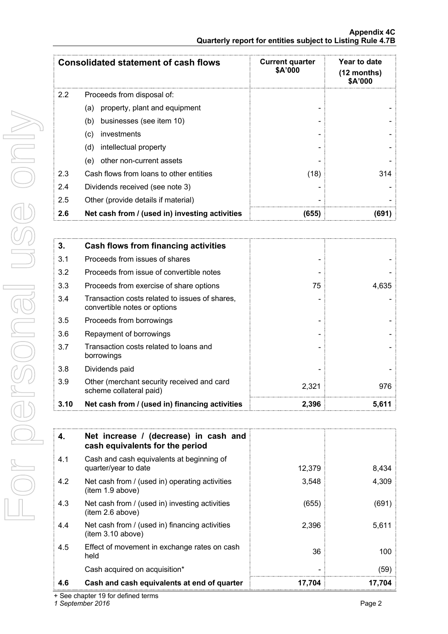**Appendix 4C Quarterly report for entities subject to Listing Rule 4.7B**

|     | <b>Consolidated statement of cash flows</b>    | <b>Current quarter</b><br>\$A'000 | Year to date<br>$(12$ months)<br>\$A'000 |
|-----|------------------------------------------------|-----------------------------------|------------------------------------------|
| 2.2 | Proceeds from disposal of:                     |                                   |                                          |
|     | property, plant and equipment<br>(a)           |                                   |                                          |
|     | businesses (see item 10)<br>(b)                |                                   |                                          |
|     | investments<br>(c)                             |                                   |                                          |
|     | (d)<br>intellectual property                   |                                   |                                          |
|     | other non-current assets<br>(e)                |                                   |                                          |
| 2.3 | Cash flows from loans to other entities        | (18)                              | 314                                      |
| 2.4 | Dividends received (see note 3)                |                                   |                                          |
| 2.5 | Other (provide details if material)            |                                   |                                          |
| 2.6 | Net cash from / (used in) investing activities | (655)                             | 691                                      |

| 3.   | <b>Cash flows from financing activities</b>                                    |       |       |
|------|--------------------------------------------------------------------------------|-------|-------|
| 3.1  | Proceeds from issues of shares                                                 |       |       |
| 3.2  | Proceeds from issue of convertible notes                                       |       |       |
| 3.3  | Proceeds from exercise of share options                                        | 75    | 4,635 |
| 3.4  | Transaction costs related to issues of shares,<br>convertible notes or options |       |       |
| 3.5  | Proceeds from borrowings                                                       |       |       |
| 3.6  | Repayment of borrowings                                                        |       |       |
| 3.7  | Transaction costs related to loans and<br>borrowings                           |       |       |
| 3.8  | Dividends paid                                                                 |       |       |
| 3.9  | Other (merchant security received and card<br>scheme collateral paid)          | 2,321 | 976   |
| 3.10 | Net cash from / (used in) financing activities                                 | 2,396 | 5,611 |

| 4.  | Net increase / (decrease) in cash and<br>cash equivalents for the period |        |        |
|-----|--------------------------------------------------------------------------|--------|--------|
| 4.1 | Cash and cash equivalents at beginning of<br>quarter/year to date        | 12,379 | 8,434  |
| 4.2 | Net cash from / (used in) operating activities<br>(item 1.9 above)       | 3,548  | 4,309  |
| 4.3 | Net cash from / (used in) investing activities<br>(item 2.6 above)       | (655)  | (691)  |
| 4.4 | Net cash from / (used in) financing activities<br>(item 3.10 above)      | 2,396  | 5,611  |
| 4.5 | Effect of movement in exchange rates on cash<br>held                     | 36     | 100    |
|     | Cash acquired on acquisition*                                            |        | (59)   |
| 4.6 | Cash and cash equivalents at end of quarter                              | 17,704 | 17.704 |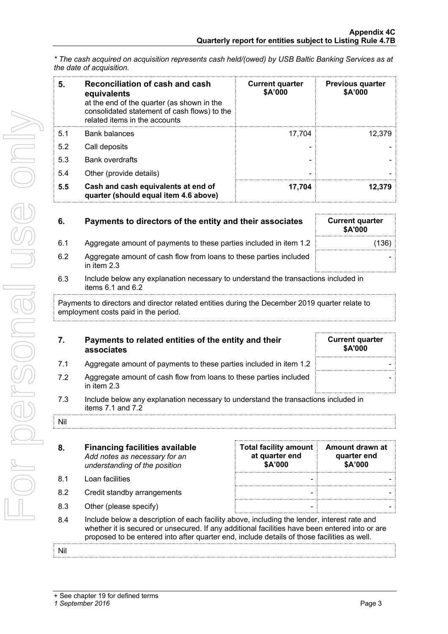*\* The cash acquired on acquisition represents cash held/(owed) by USB Baltic Banking Services as at the date of acquisition.* 

| 5.  | Reconciliation of cash and cash<br>equivalents<br>at the end of the quarter (as shown in the<br>consolidated statement of cash flows) to the<br>related items in the accounts | <b>Current quarter</b><br>\$A'000 | <b>Previous quarter</b><br>\$A'000 |
|-----|-------------------------------------------------------------------------------------------------------------------------------------------------------------------------------|-----------------------------------|------------------------------------|
| 5.1 | <b>Bank balances</b>                                                                                                                                                          | 17.704                            | 12.379                             |
| 5.2 | Call deposits                                                                                                                                                                 |                                   |                                    |
| 5.3 | <b>Bank overdrafts</b>                                                                                                                                                        |                                   |                                    |
| 5.4 | Other (provide details)                                                                                                                                                       |                                   |                                    |
| 5.5 | Cash and cash equivalents at end of<br>quarter (should equal item 4.6 above)                                                                                                  | 17,704                            | 12.379                             |

| 6.  | Payments to directors of the entity and their associates                                               | <b>Current quarter</b><br>\$A'000 |
|-----|--------------------------------------------------------------------------------------------------------|-----------------------------------|
| 6.1 | Aggregate amount of payments to these parties included in item 1.2                                     | (136)                             |
| 6.2 | Aggregate amount of cash flow from loans to these parties included<br>in item $2.3$                    |                                   |
| 6.3 | Include below any explanation necessary to understand the transactions included in<br>Hence C A and C. |                                   |

items 6.1 and 6.2 Payments to directors and director related entities during the December 2019 quarter relate to employment costs paid in the period.

| 7.  | Payments to related entities of the entity and their<br>associates                                          | <b>Current quarter</b><br><b>\$A'000</b> |
|-----|-------------------------------------------------------------------------------------------------------------|------------------------------------------|
| 7.1 | Aggregate amount of payments to these parties included in item 1.2                                          |                                          |
| 7.2 | Aggregate amount of cash flow from loans to these parties included<br>in item 2.3                           |                                          |
| 7.3 | Include below any explanation necessary to understand the transactions included in<br>items $7.1$ and $7.2$ |                                          |
| Nil |                                                                                                             |                                          |

| 8.  | <b>Financing facilities available</b><br>Add notes as necessary for an<br>understanding of the position                                                                                                                                                                                      | <b>Total facility amount</b><br>at quarter end<br>\$A'000 | Amount drawn at<br>quarter end<br>\$A'000 |
|-----|----------------------------------------------------------------------------------------------------------------------------------------------------------------------------------------------------------------------------------------------------------------------------------------------|-----------------------------------------------------------|-------------------------------------------|
| 8.1 | Loan facilities                                                                                                                                                                                                                                                                              |                                                           |                                           |
| 8.2 | Credit standby arrangements                                                                                                                                                                                                                                                                  |                                                           |                                           |
| 8.3 | Other (please specify)                                                                                                                                                                                                                                                                       |                                                           |                                           |
| 8.4 | Include below a description of each facility above, including the lender, interest rate and<br>whether it is secured or unsecured. If any additional facilities have been entered into or are<br>proposed to be entered into after quarter end, include details of those facilities as well. |                                                           |                                           |
|     |                                                                                                                                                                                                                                                                                              |                                                           |                                           |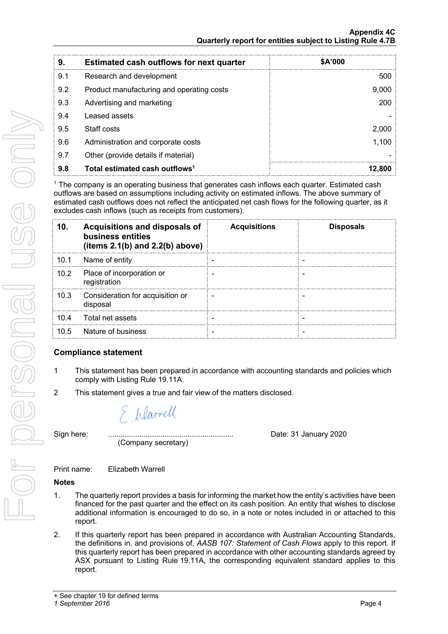| 9.  | <b>Estimated cash outflows for next quarter</b> | \$A'000 |
|-----|-------------------------------------------------|---------|
| 9.1 | Research and development                        | 500     |
| 9.2 | Product manufacturing and operating costs       | 9,000   |
| 9.3 | Advertising and marketing                       | 200     |
| 9.4 | Leased assets                                   |         |
| 9.5 | Staff costs                                     | 2.000   |
| 9.6 | Administration and corporate costs              | 1.100   |
| 9.7 | Other (provide details if material)             |         |
| 9.8 | Total estimated cash outflows <sup>1</sup>      | 12.800  |

<sup>1</sup> The company is an operating business that generates cash inflows each quarter. Estimated cash outflows are based on assumptions including activity on estimated inflows. The above summary of estimated cash outflows does not reflect the anticipated net cash flows for the following quarter, as it excludes cash inflows (such as receipts from customers).

| 10 <sub>1</sub>   | Acquisitions and disposals of<br>business entities<br>(items $2.1(b)$ and $2.2(b)$ above) | <b>Acquisitions</b> | <b>Disposals</b> |
|-------------------|-------------------------------------------------------------------------------------------|---------------------|------------------|
| 10.1              | Name of entity                                                                            |                     |                  |
| 10.2 <sub>1</sub> | Place of incorporation or<br>registration                                                 |                     |                  |
| 10.3              | Consideration for acquisition or<br>disposal                                              |                     |                  |
| 10.4              | Total net assets                                                                          |                     |                  |
| 10.5              | Nature of business                                                                        |                     |                  |

## **Compliance statement**

- 1 This statement has been prepared in accordance with accounting standards and policies which comply with Listing Rule 19.11A.
- 2 This statement gives a true and fair view of the matters disclosed.

E Warrell

Sign here: ............................................................ Date: 31 January 2020 (Company secretary)

Print name: Elizabeth Warrell

### **Notes**

- 1. The quarterly report provides a basis for informing the market how the entity's activities have been financed for the past quarter and the effect on its cash position. An entity that wishes to disclose additional information is encouraged to do so, in a note or notes included in or attached to this report.
- 2. If this quarterly report has been prepared in accordance with Australian Accounting Standards, the definitions in, and provisions of, *AASB 107: Statement of Cash Flows* apply to this report. If this quarterly report has been prepared in accordance with other accounting standards agreed by ASX pursuant to Listing Rule 19.11A, the corresponding equivalent standard applies to this report.